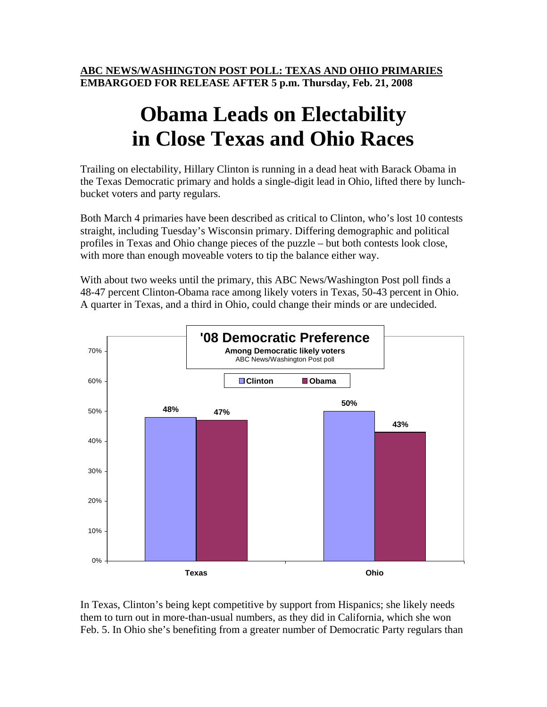**ABC NEWS/WASHINGTON POST POLL: TEXAS AND OHIO PRIMARIES EMBARGOED FOR RELEASE AFTER 5 p.m. Thursday, Feb. 21, 2008** 

## **Obama Leads on Electability in Close Texas and Ohio Races**

Trailing on electability, Hillary Clinton is running in a dead heat with Barack Obama in the Texas Democratic primary and holds a single-digit lead in Ohio, lifted there by lunchbucket voters and party regulars.

Both March 4 primaries have been described as critical to Clinton, who's lost 10 contests straight, including Tuesday's Wisconsin primary. Differing demographic and political profiles in Texas and Ohio change pieces of the puzzle – but both contests look close, with more than enough moveable voters to tip the balance either way.

With about two weeks until the primary, this ABC News/Washington Post poll finds a 48-47 percent Clinton-Obama race among likely voters in Texas, 50-43 percent in Ohio. A quarter in Texas, and a third in Ohio, could change their minds or are undecided.



In Texas, Clinton's being kept competitive by support from Hispanics; she likely needs them to turn out in more-than-usual numbers, as they did in California, which she won Feb. 5. In Ohio she's benefiting from a greater number of Democratic Party regulars than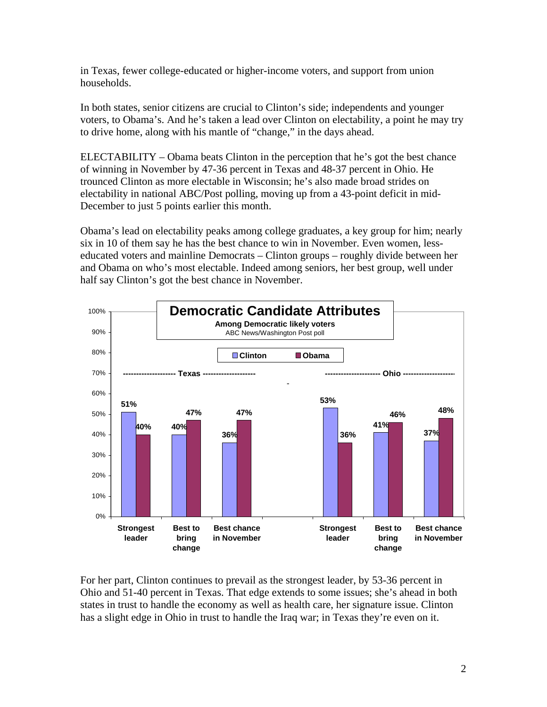in Texas, fewer college-educated or higher-income voters, and support from union households.

In both states, senior citizens are crucial to Clinton's side; independents and younger voters, to Obama's. And he's taken a lead over Clinton on electability, a point he may try to drive home, along with his mantle of "change," in the days ahead.

ELECTABILITY – Obama beats Clinton in the perception that he's got the best chance of winning in November by 47-36 percent in Texas and 48-37 percent in Ohio. He trounced Clinton as more electable in Wisconsin; he's also made broad strides on electability in national ABC/Post polling, moving up from a 43-point deficit in mid-December to just 5 points earlier this month.

Obama's lead on electability peaks among college graduates, a key group for him; nearly six in 10 of them say he has the best chance to win in November. Even women, lesseducated voters and mainline Democrats – Clinton groups – roughly divide between her and Obama on who's most electable. Indeed among seniors, her best group, well under half say Clinton's got the best chance in November.



For her part, Clinton continues to prevail as the strongest leader, by 53-36 percent in Ohio and 51-40 percent in Texas. That edge extends to some issues; she's ahead in both states in trust to handle the economy as well as health care, her signature issue. Clinton has a slight edge in Ohio in trust to handle the Iraq war; in Texas they're even on it.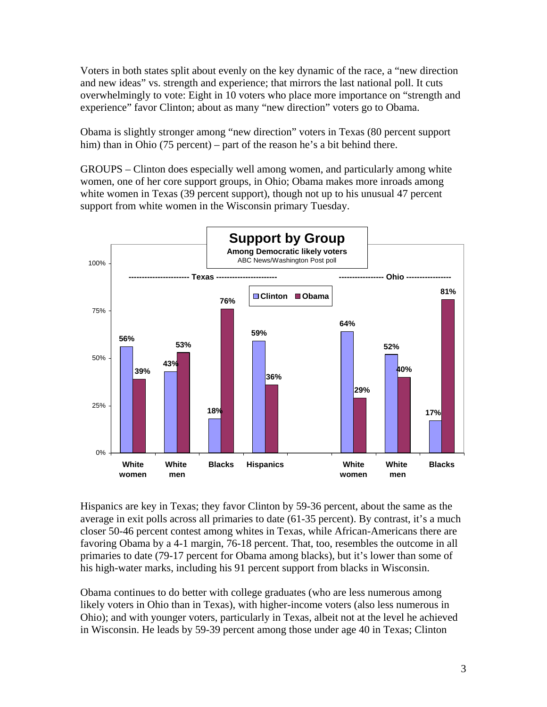Voters in both states split about evenly on the key dynamic of the race, a "new direction and new ideas" vs. strength and experience; that mirrors the last national poll. It cuts overwhelmingly to vote: Eight in 10 voters who place more importance on "strength and experience" favor Clinton; about as many "new direction" voters go to Obama.

Obama is slightly stronger among "new direction" voters in Texas (80 percent support him) than in Ohio (75 percent) – part of the reason he's a bit behind there.

GROUPS – Clinton does especially well among women, and particularly among white women, one of her core support groups, in Ohio; Obama makes more inroads among white women in Texas (39 percent support), though not up to his unusual 47 percent support from white women in the Wisconsin primary Tuesday.



Hispanics are key in Texas; they favor Clinton by 59-36 percent, about the same as the average in exit polls across all primaries to date (61-35 percent). By contrast, it's a much closer 50-46 percent contest among whites in Texas, while African-Americans there are favoring Obama by a 4-1 margin, 76-18 percent. That, too, resembles the outcome in all primaries to date (79-17 percent for Obama among blacks), but it's lower than some of his high-water marks, including his 91 percent support from blacks in Wisconsin.

Obama continues to do better with college graduates (who are less numerous among likely voters in Ohio than in Texas), with higher-income voters (also less numerous in Ohio); and with younger voters, particularly in Texas, albeit not at the level he achieved in Wisconsin. He leads by 59-39 percent among those under age 40 in Texas; Clinton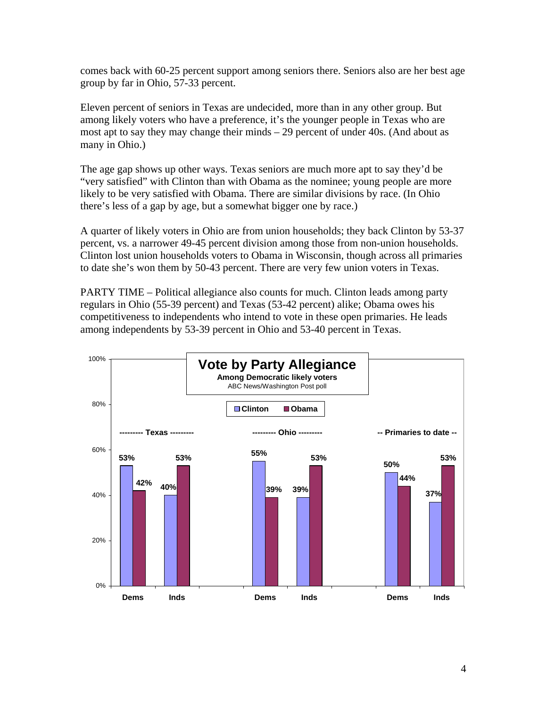comes back with 60-25 percent support among seniors there. Seniors also are her best age group by far in Ohio, 57-33 percent.

Eleven percent of seniors in Texas are undecided, more than in any other group. But among likely voters who have a preference, it's the younger people in Texas who are most apt to say they may change their minds – 29 percent of under 40s. (And about as many in Ohio.)

The age gap shows up other ways. Texas seniors are much more apt to say they'd be "very satisfied" with Clinton than with Obama as the nominee; young people are more likely to be very satisfied with Obama. There are similar divisions by race. (In Ohio there's less of a gap by age, but a somewhat bigger one by race.)

A quarter of likely voters in Ohio are from union households; they back Clinton by 53-37 percent, vs. a narrower 49-45 percent division among those from non-union households. Clinton lost union households voters to Obama in Wisconsin, though across all primaries to date she's won them by 50-43 percent. There are very few union voters in Texas.

PARTY TIME – Political allegiance also counts for much. Clinton leads among party regulars in Ohio (55-39 percent) and Texas (53-42 percent) alike; Obama owes his competitiveness to independents who intend to vote in these open primaries. He leads among independents by 53-39 percent in Ohio and 53-40 percent in Texas.

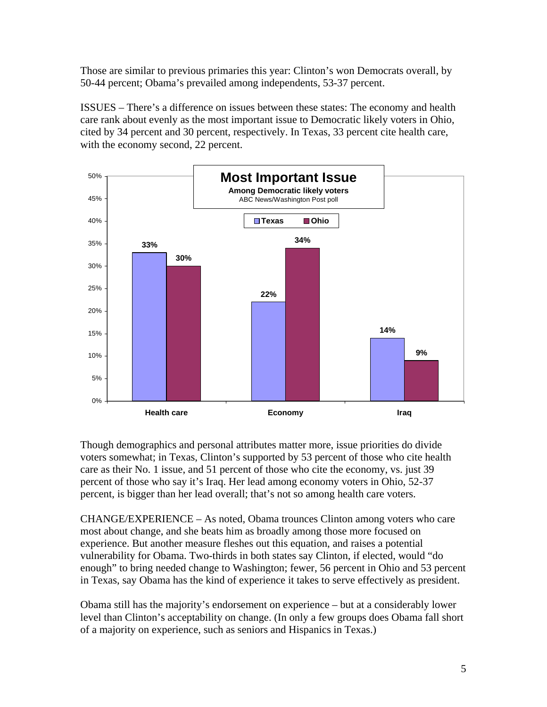Those are similar to previous primaries this year: Clinton's won Democrats overall, by 50-44 percent; Obama's prevailed among independents, 53-37 percent.

ISSUES – There's a difference on issues between these states: The economy and health care rank about evenly as the most important issue to Democratic likely voters in Ohio, cited by 34 percent and 30 percent, respectively. In Texas, 33 percent cite health care, with the economy second, 22 percent.



Though demographics and personal attributes matter more, issue priorities do divide voters somewhat; in Texas, Clinton's supported by 53 percent of those who cite health care as their No. 1 issue, and 51 percent of those who cite the economy, vs. just 39 percent of those who say it's Iraq. Her lead among economy voters in Ohio, 52-37 percent, is bigger than her lead overall; that's not so among health care voters.

CHANGE/EXPERIENCE – As noted, Obama trounces Clinton among voters who care most about change, and she beats him as broadly among those more focused on experience. But another measure fleshes out this equation, and raises a potential vulnerability for Obama. Two-thirds in both states say Clinton, if elected, would "do enough" to bring needed change to Washington; fewer, 56 percent in Ohio and 53 percent in Texas, say Obama has the kind of experience it takes to serve effectively as president.

Obama still has the majority's endorsement on experience – but at a considerably lower level than Clinton's acceptability on change. (In only a few groups does Obama fall short of a majority on experience, such as seniors and Hispanics in Texas.)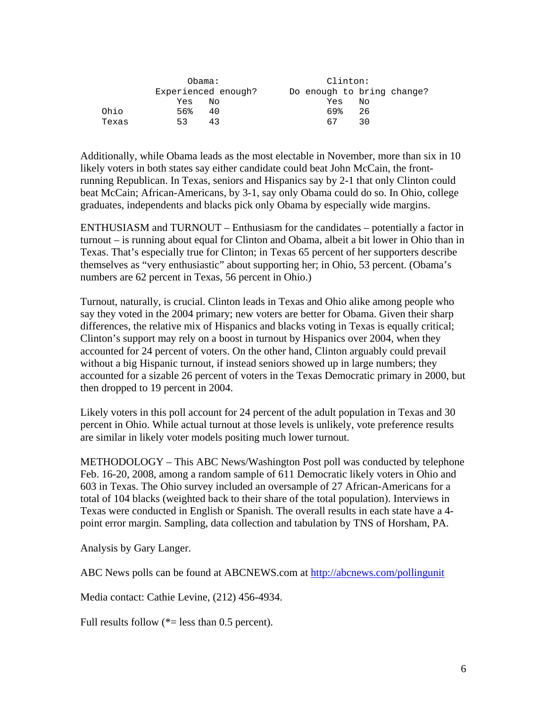|       | Obama:              | Clinton:                   |
|-------|---------------------|----------------------------|
|       | Experienced enough? | Do enough to bring change? |
|       | Yes<br>NΟ           | Yes<br>Nο                  |
| Ohio  | 56%<br>40           | 69%<br>26                  |
| Texas | 43<br>53            | 67<br>30                   |

Additionally, while Obama leads as the most electable in November, more than six in 10 likely voters in both states say either candidate could beat John McCain, the frontrunning Republican. In Texas, seniors and Hispanics say by 2-1 that only Clinton could beat McCain; African-Americans, by 3-1, say only Obama could do so. In Ohio, college graduates, independents and blacks pick only Obama by especially wide margins.

ENTHUSIASM and TURNOUT – Enthusiasm for the candidates – potentially a factor in turnout – is running about equal for Clinton and Obama, albeit a bit lower in Ohio than in Texas. That's especially true for Clinton; in Texas 65 percent of her supporters describe themselves as "very enthusiastic" about supporting her; in Ohio, 53 percent. (Obama's numbers are 62 percent in Texas, 56 percent in Ohio.)

Turnout, naturally, is crucial. Clinton leads in Texas and Ohio alike among people who say they voted in the 2004 primary; new voters are better for Obama. Given their sharp differences, the relative mix of Hispanics and blacks voting in Texas is equally critical; Clinton's support may rely on a boost in turnout by Hispanics over 2004, when they accounted for 24 percent of voters. On the other hand, Clinton arguably could prevail without a big Hispanic turnout, if instead seniors showed up in large numbers; they accounted for a sizable 26 percent of voters in the Texas Democratic primary in 2000, but then dropped to 19 percent in 2004.

Likely voters in this poll account for 24 percent of the adult population in Texas and 30 percent in Ohio. While actual turnout at those levels is unlikely, vote preference results are similar in likely voter models positing much lower turnout.

METHODOLOGY – This ABC News/Washington Post poll was conducted by telephone Feb. 16-20, 2008, among a random sample of 611 Democratic likely voters in Ohio and 603 in Texas. The Ohio survey included an oversample of 27 African-Americans for a total of 104 blacks (weighted back to their share of the total population). Interviews in Texas were conducted in English or Spanish. The overall results in each state have a 4 point error margin. Sampling, data collection and tabulation by TNS of Horsham, PA.

Analysis by Gary Langer.

ABC News polls can be found at ABCNEWS.com at http://abcnews.com/pollingunit

Media contact: Cathie Levine, (212) 456-4934.

Full results follow  $(*=$  less than 0.5 percent).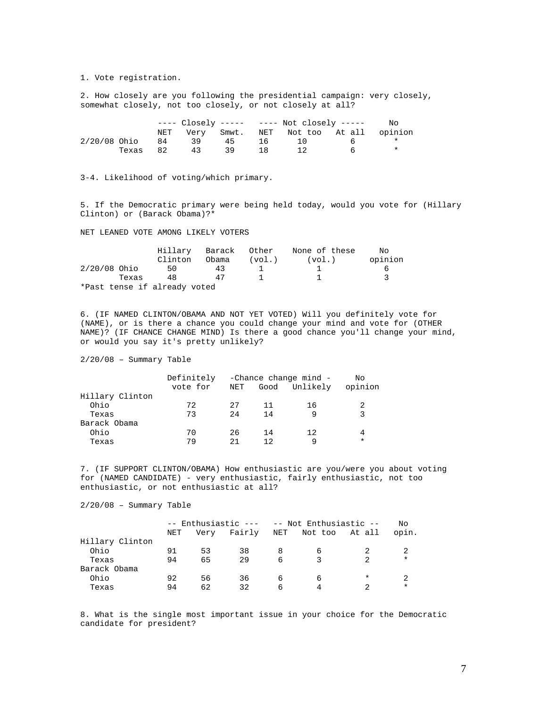1. Vote registration.

2. How closely are you following the presidential campaign: very closely, somewhat closely, not too closely, or not closely at all?

|                |          |    |    |    |     | ---- $\text{Closed}\,y$ ----- ---- Not closely ----- | NΟ |
|----------------|----------|----|----|----|-----|------------------------------------------------------|----|
|                |          |    |    |    |     | NET Very Smwt. NET Not-too At-all opinion            |    |
| $2/20/08$ Ohio |          | 84 | 39 | 45 | 16. | 1 O                                                  |    |
|                | Texas 82 |    | 43 | 39 | 18  |                                                      |    |

3-4. Likelihood of voting/which primary.

5. If the Democratic primary were being held today, would you vote for (Hillary Clinton) or (Barack Obama)?\*

NET LEANED VOTE AMONG LIKELY VOTERS

|                              |         | Hillary Barack Other |        | None of these | Nο      |
|------------------------------|---------|----------------------|--------|---------------|---------|
|                              | Clinton | Obama                | (vol.) | (vol.)        | opinion |
| $2/20/08$ Ohio               | 50.     | 43                   |        |               |         |
| Texas                        | 48      | 47                   |        |               |         |
| *Past tense if already voted |         |                      |        |               |         |

6. (IF NAMED CLINTON/OBAMA AND NOT YET VOTED) Will you definitely vote for (NAME), or is there a chance you could change your mind and vote for (OTHER NAME)? (IF CHANCE CHANGE MIND) Is there a good chance you'll change your mind, or would you say it's pretty unlikely?

2/20/08 – Summary Table

|                 | Definitely |     |      | -Chance change mind - | Nο      |
|-----------------|------------|-----|------|-----------------------|---------|
|                 | vote for   | NET |      | Good Unlikely         | opinion |
| Hillary Clinton |            |     |      |                       |         |
| Ohio            | 72         | 27  | -11- | 16                    | 2       |
| Texas           | 73         | 2.4 | 14   | 9                     | 3       |
| Barack Obama    |            |     |      |                       |         |
| Ohio            | 70         | 26  | -14  | 12                    | 4       |
| Texas           | 79         | 21  | 12   | 9                     | $\ast$  |

7. (IF SUPPORT CLINTON/OBAMA) How enthusiastic are you/were you about voting for (NAMED CANDIDATE) - very enthusiastic, fairly enthusiastic, not too enthusiastic, or not enthusiastic at all?

2/20/08 – Summary Table

|                 | -- Enthusiastic --- -- Not Enthusiastic -- |      |        |     | No             |   |          |
|-----------------|--------------------------------------------|------|--------|-----|----------------|---|----------|
|                 | NET                                        | Verv | Fairly | NET | Not too At all |   | opin.    |
| Hillary Clinton |                                            |      |        |     |                |   |          |
| Ohio            | 91                                         | 53   | 38     |     | 6              |   |          |
| Texas           | 94                                         | 65   | 29     | 6   |                |   | $^\star$ |
| Barack Obama    |                                            |      |        |     |                |   |          |
| Ohio            | 92                                         | 56   | 36     | 6   | 6              | * |          |
| Texas           | 94                                         | 62   | 32     | 6   | 4              |   | $^\star$ |

8. What is the single most important issue in your choice for the Democratic candidate for president?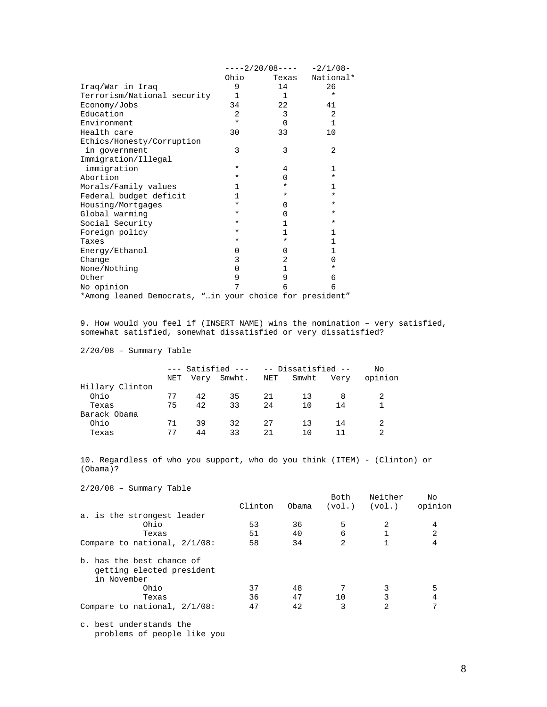|                                                         |              |              | ----2/20/08---- -2/1/08- |
|---------------------------------------------------------|--------------|--------------|--------------------------|
|                                                         | Ohio         | Texas        | National*                |
| Iraq/War in Iraq                                        | 9            | 14           | 26                       |
| Terrorism/National security                             | $\mathbf{1}$ | 1            | $\star$                  |
| Economy/Jobs                                            | 34           | 22           | 41                       |
| Education                                               | 2            | 3            | 2                        |
| Environment                                             | $\star$      | $\Omega$     | $\mathbf{1}$             |
| Health care                                             | 30           | 33           | 10                       |
| Ethics/Honesty/Corruption                               |              |              |                          |
| in government                                           | 3            | 3            | 2                        |
| Immigration/Illegal                                     |              |              |                          |
| immigration                                             | *            | 4            | $\mathbf{1}$             |
| Abortion                                                | *            | 0            | ¥                        |
| Morals/Family values                                    | 1            | $^\star$     | 1                        |
| Federal budget deficit                                  | $\mathbf{1}$ | $\ast$       | ¥                        |
| Housing/Mortgages                                       | $^\star$     | $\Omega$     | $^\star$                 |
| Global warming                                          | *            | $\Omega$     | $\ast$                   |
| Social Security                                         | $^\star$     | 1            | *                        |
| Foreign policy                                          | *            | 1            | $\mathbf{1}$             |
| Taxes                                                   | *            | $\ast$       | $\mathbf{1}$             |
| Energy/Ethanol                                          | 0            | 0            | $\mathbf{1}$             |
| Change                                                  | 3            | 2            | 0                        |
| None/Nothing                                            | $\Omega$     | $\mathbf{1}$ | *                        |
| Other                                                   | 9            | 9            | 6                        |
| No opinion                                              | 7            | 6            | 6                        |
| *Among leaned Democrats, "in your choice for president" |              |              |                          |

9. How would you feel if (INSERT NAME) wins the nomination – very satisfied, somewhat satisfied, somewhat dissatisfied or very dissatisfied?

2/20/08 – Summary Table

|                 |     |    | --- Satisfied --- -- Dissatisfied -- |    |           | Nο   |         |
|-----------------|-----|----|--------------------------------------|----|-----------|------|---------|
|                 | NET |    | Very Smwht.                          |    | NET Smwht | Very | opinion |
| Hillary Clinton |     |    |                                      |    |           |      |         |
| Ohio            | 77  | 42 | 35                                   | 21 | 13        |      |         |
| Texas           | 75  | 42 | 33                                   | 24 | 1 O       | 14   |         |
| Barack Obama    |     |    |                                      |    |           |      |         |
| Ohio            | 71  | 39 | 32                                   | 27 | 13        | 14   |         |
| Texas           | 77  | 44 | 33                                   | 21 | 1 N       |      | 2       |

10. Regardless of who you support, who do you think (ITEM) - (Clinton) or (Obama)?

2/20/08 – Summary Table

|                                                                       | Clinton | Obama | Both<br>(vol.) | Neither<br>(vol.) | No<br>opinion  |
|-----------------------------------------------------------------------|---------|-------|----------------|-------------------|----------------|
|                                                                       |         |       |                |                   |                |
| a. is the strongest leader                                            |         |       |                |                   |                |
| Ohio                                                                  | 53      | 36    | 5              | 2                 | 4              |
| Texas                                                                 | 51      | 40    | 6              |                   | $\overline{2}$ |
| Compare to national, $2/1/08$ :                                       | 58      | 34    | 2              |                   | 4              |
| b. has the best chance of<br>getting elected president<br>in November |         |       |                |                   |                |
| Ohio                                                                  | 37      | 48    | 7              | 3                 | 5              |
| Texas                                                                 | 36      | 47    | 10             | 3                 | 4              |
| Compare to national, $2/1/08$ :                                       | 47      | 42    | 3              | 2                 | 7              |
|                                                                       |         |       |                |                   |                |

c. best understands the problems of people like you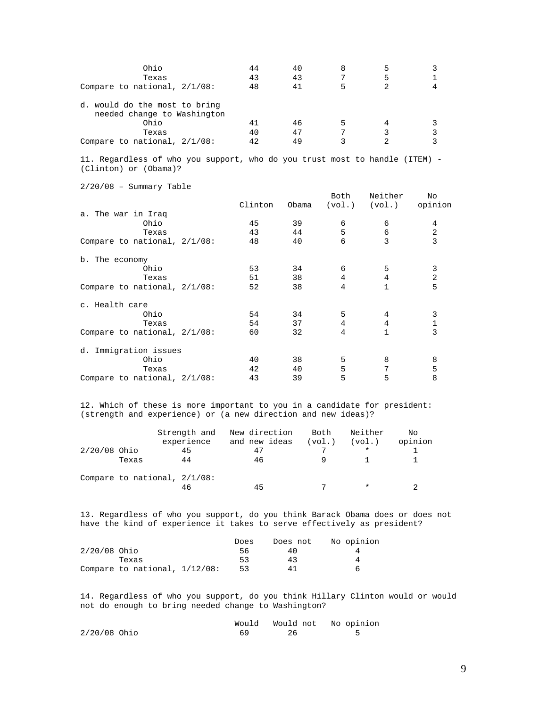| Ohio<br>Texas<br>Compare to national, $2/1/08$ :             | 44<br>43<br>48 | 40<br>43<br>41 | 8 | Һ |  |
|--------------------------------------------------------------|----------------|----------------|---|---|--|
| d. would do the most to bring<br>needed change to Washington |                |                |   |   |  |
| Ohio                                                         |                | 46             | 5 |   |  |
| Texas                                                        | 40             | 47             |   |   |  |
| Compare to national, $2/1/08$ :                              | 1つ             | 49             |   |   |  |

11. Regardless of who you support, who do you trust most to handle (ITEM) - (Clinton) or (Obama)?

2/20/08 – Summary Table

|                                 | Clinton | Obama | Both           | Neither<br>$(vol.)$ $(vol.)$ | No.<br>opinion |
|---------------------------------|---------|-------|----------------|------------------------------|----------------|
| a. The war in Iraq              |         |       |                |                              |                |
| Ohio                            | 45      | 39    | 6              | 6                            | 4              |
| Texas                           | 43      | 44    | 5              | 6                            | 2              |
| Compare to national, $2/1/08$ : | 48      | 40    | 6              | 3                            | 3              |
| b. The economy                  |         |       |                |                              |                |
| Ohio                            | 53      | 34    | 6              | 5                            | 3              |
| Texas                           | 51      | 38    | $\overline{4}$ | 4                            | 2              |
| Compare to national, $2/1/08$ : | 52      | 38    | 4              |                              | 5              |
| c. Health care                  |         |       |                |                              |                |
| Ohio                            | 54      | 34    | 5              | 4                            | 3              |
| Texas                           | 54      | 37    | 4              | 4                            | 1              |
| Compare to national, $2/1/08$ : | 60      | 32    | $\overline{4}$ | $\mathbf{1}$                 | 3              |
| d. Immigration issues           |         |       |                |                              |                |
| Ohio                            | 40      | 38    | 5              | 8                            | 8              |
| Texas                           | 42      | 40    | 5              | 7                            | 5              |
| Compare to national, $2/1/08$ : | 43      | 39    | 5              | 5                            | 8              |

12. Which of these is more important to you in a candidate for president: (strength and experience) or (a new direction and new ideas)?

|                |                                 | Strength and | New direction | Both   | Neither  | No      |
|----------------|---------------------------------|--------------|---------------|--------|----------|---------|
|                |                                 | experience   | and new ideas | (vol.) | (vol.)   | opinion |
| $2/20/08$ Ohio |                                 | 45           | 47            |        | $^\star$ |         |
|                | Texas                           | 44           | 46            |        |          |         |
|                | Compare to national, $2/1/08$ : |              |               |        |          |         |
|                |                                 | 46           | 45            |        | *        |         |

13. Regardless of who you support, do you think Barack Obama does or does not have the kind of experience it takes to serve effectively as president?

|                |                                  | Does | Does not | No opinion |
|----------------|----------------------------------|------|----------|------------|
| $2/20/08$ Ohio |                                  | 56   | 40       |            |
|                | Texas                            | 53   | 43       |            |
|                | Compare to national, $1/12/08$ : | 53   | 41       |            |

14. Regardless of who you support, do you think Hillary Clinton would or would not do enough to bring needed change to Washington?

|                |  | Would Would not No opinion |
|----------------|--|----------------------------|
| $2/20/08$ Ohio |  |                            |